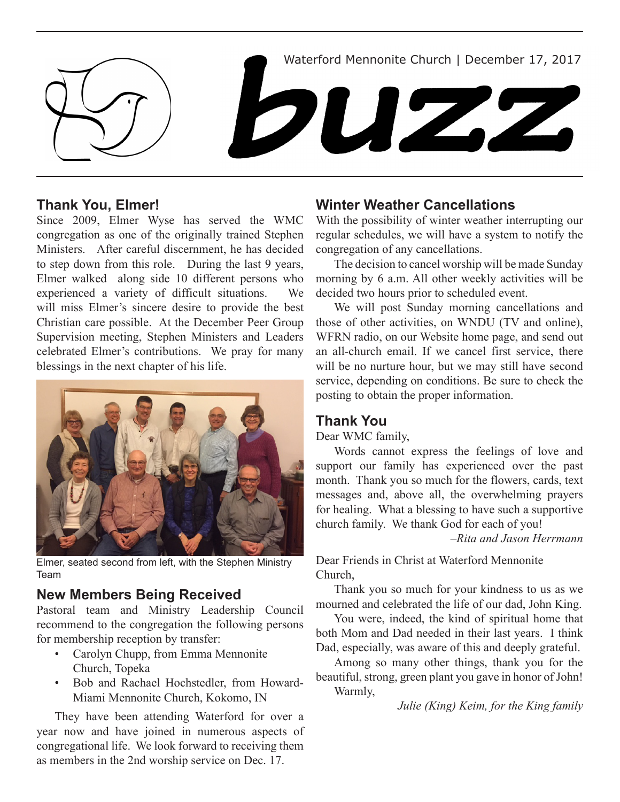

## **Thank You, Elmer!**

Since 2009, Elmer Wyse has served the WMC congregation as one of the originally trained Stephen Ministers. After careful discernment, he has decided to step down from this role. During the last 9 years, Elmer walked along side 10 different persons who experienced a variety of difficult situations. We will miss Elmer's sincere desire to provide the best Christian care possible. At the December Peer Group Supervision meeting, Stephen Ministers and Leaders celebrated Elmer's contributions. We pray for many blessings in the next chapter of his life.



Elmer, seated second from left, with the Stephen Ministry Team

## **New Members Being Received**

Pastoral team and Ministry Leadership Council recommend to the congregation the following persons for membership reception by transfer:

- Carolyn Chupp, from Emma Mennonite Church, Topeka
- • Bob and Rachael Hochstedler, from Howard-Miami Mennonite Church, Kokomo, IN

They have been attending Waterford for over a year now and have joined in numerous aspects of congregational life. We look forward to receiving them as members in the 2nd worship service on Dec. 17.

## **Winter Weather Cancellations**

With the possibility of winter weather interrupting our regular schedules, we will have a system to notify the congregation of any cancellations.

The decision to cancel worship will be made Sunday morning by 6 a.m. All other weekly activities will be decided two hours prior to scheduled event.

We will post Sunday morning cancellations and those of other activities, on WNDU (TV and online), WFRN radio, on our Website home page, and send out an all-church email. If we cancel first service, there will be no nurture hour, but we may still have second service, depending on conditions. Be sure to check the posting to obtain the proper information.

## **Thank You**

Dear WMC family,

Words cannot express the feelings of love and support our family has experienced over the past month. Thank you so much for the flowers, cards, text messages and, above all, the overwhelming prayers for healing. What a blessing to have such a supportive church family. We thank God for each of you!

*–Rita and Jason Herrmann*

Dear Friends in Christ at Waterford Mennonite Church,

Thank you so much for your kindness to us as we mourned and celebrated the life of our dad, John King.

You were, indeed, the kind of spiritual home that both Mom and Dad needed in their last years. I think Dad, especially, was aware of this and deeply grateful.

Among so many other things, thank you for the beautiful, strong, green plant you gave in honor of John! Warmly,

 *Julie (King) Keim, for the King family*